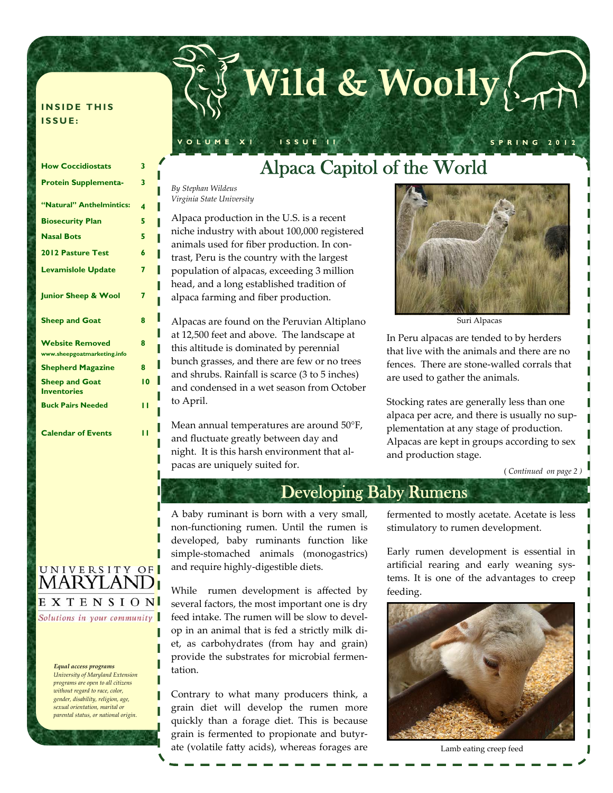# **Wild & Woolly**

#### **INSIDE THIS ISSUE:**

| <b>How Coccidiostats</b>                              | 3  |
|-------------------------------------------------------|----|
| <b>Protein Supplementa-</b>                           | 3  |
|                                                       |    |
| "Natural" Anthelmintics:                              | 4  |
| <b>Biosecurity Plan</b>                               | 5  |
| <b>Nasal Bots</b>                                     | 5  |
| <b>2012 Pasture Test</b>                              | 6  |
| <b>Levamislole Update</b>                             | 7  |
| <b>Junior Sheep &amp; Wool</b>                        | 7  |
| <b>Sheep and Goat</b>                                 | 8  |
| <b>Website Removed</b><br>www.sheepgoatmarketing.info | R  |
| <b>Shepherd Magazine</b>                              | 8  |
| <b>Sheep and Goat</b><br><b>Inventories</b>           | 10 |
| <b>Buck Pairs Needed</b>                              | п  |
| <b>Calendar of Events</b>                             |    |



Solutions in your community

#### *Equal access programs*

*University of Maryland Extension programs are open to all citizens without regard to race, color, gender, disability, religion, age, sexual orientation, marital or parental status, or national origin.*

### Alpaca Capitol of the World

**VOLUME X1 ISSUE II SPRING 2012** 

*By Stephan Wildeus Virginia State University* 

Alpaca production in the U.S. is a recent niche industry with about 100,000 registered animals used for fiber production. In con‐ trast, Peru is the country with the largest population of alpacas, exceeding 3 million head, and a long established tradition of alpaca farming and fiber production.

Alpacas are found on the Peruvian Altiplano at 12,500 feet and above. The landscape at this altitude is dominated by perennial bunch grasses, and there are few or no trees and shrubs. Rainfall is scarce (3 to 5 inches) and condensed in a wet season from October to April.

Mean annual temperatures are around 50°F, and fluctuate greatly between day and night. It is this harsh environment that al‐ pacas are uniquely suited for.



Suri Alpacas

In Peru alpacas are tended to by herders that live with the animals and there are no fences. There are stone‐walled corrals that are used to gather the animals.

Stocking rates are generally less than one alpaca per acre, and there is usually no sup‐ plementation at any stage of production. Alpacas are kept in groups according to sex and production stage.

( *Continued on page 2 )*

### Developing Baby Rumens

A baby ruminant is born with a very small, non‐functioning rumen. Until the rumen is developed, baby ruminants function like simple‐stomached animals (monogastrics) and require highly‐digestible diets.

While rumen development is affected by several factors, the most important one is dry feed intake. The rumen will be slow to develop in an animal that is fed a strictly milk di‐ et, as carbohydrates (from hay and grain) provide the substrates for microbial fermentation.

Contrary to what many producers think, a grain diet will develop the rumen more quickly than a forage diet. This is because grain is fermented to propionate and butyr‐ ate (volatile fatty acids), whereas forages are

fermented to mostly acetate. Acetate is less stimulatory to rumen development.

Early rumen development is essential in artificial rearing and early weaning sys‐ tems. It is one of the advantages to creep feeding.



Lamb eating creep feed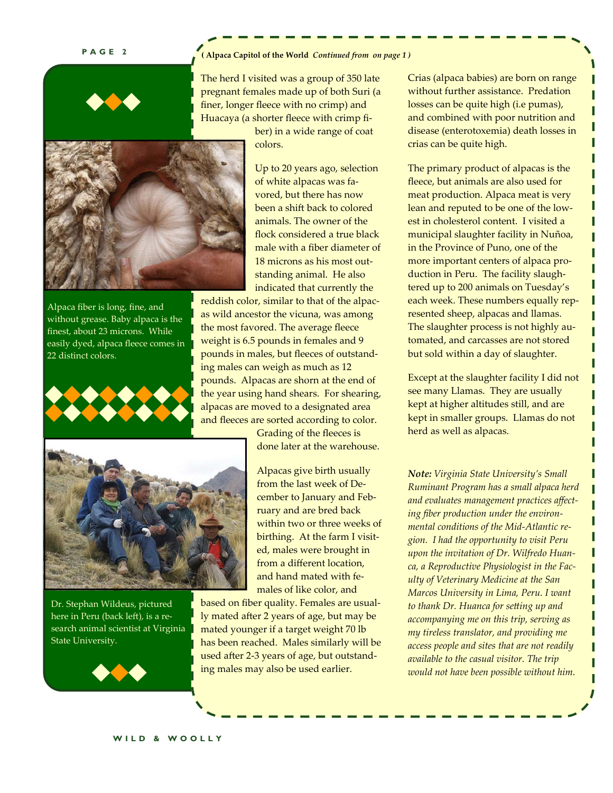#### **PAGE 2**

#### **( Alpaca Capitol of the World** *Continued from on page 1 )*



The herd I visited was a group of 350 late pregnant females made up of both Suri (a finer, longer fleece with no crimp) and Huacaya (a shorter fleece with crimp fi‐

> ber) in a wide range of coat colors.



Alpaca fiber is long, fine, and without grease. Baby alpaca is the finest, about 23 microns. While easily dyed, alpaca fleece comes in 22 distinct colors.



Up to 20 years ago, selection of white alpacas was fa‐ vored, but there has now been a shift back to colored animals. The owner of the flock considered a true black male with a fiber diameter of 18 microns as his most out‐ standing animal. He also indicated that currently the

reddish color, similar to that of the alpac‐ as wild ancestor the vicuna, was among the most favored. The average fleece weight is 6.5 pounds in females and 9 pounds in males, but fleeces of outstand‐ ing males can weigh as much as 12 pounds. Alpacas are shorn at the end of the year using hand shears. For shearing, alpacas are moved to a designated area and fleeces are sorted according to color.

> Grading of the fleeces is done later at the warehouse.



Dr. Stephan Wildeus, pictured here in Peru (back left), is a re‐ search animal scientist at Virginia State University.



Alpacas give birth usually from the last week of De‐ cember to January and Feb‐ ruary and are bred back within two or three weeks of birthing. At the farm I visit‐ ed, males were brought in from a different location, and hand mated with fe‐ males of like color, and

based on fiber quality. Females are usual‐ ly mated after 2 years of age, but may be mated younger if a target weight 70 lb has been reached. Males similarly will be used after 2‐3 years of age, but outstand‐ ing males may also be used earlier.

Crias (alpaca babies) are born on range without further assistance. Predation losses can be quite high (i.e pumas), and combined with poor nutrition and disease (enterotoxemia) death losses in crias can be quite high.

The primary product of alpacas is the fleece, but animals are also used for meat production. Alpaca meat is very lean and reputed to be one of the low‐ est in cholesterol content. I visited a municipal slaughter facility in Nuñoa, in the Province of Puno, one of the more important centers of alpaca production in Peru. The facility slaugh‐ tered up to 200 animals on Tuesday's each week. These numbers equally rep‐ resented sheep, alpacas and llamas. The slaughter process is not highly au‐ tomated, and carcasses are not stored but sold within a day of slaughter.

Except at the slaughter facility I did not see many Llamas. They are usually kept at higher altitudes still, and are kept in smaller groups. Llamas do not herd as well as alpacas.

*Note: Virginia State University's Small Ruminant Program has a small alpaca herd and evaluates management practices affecting fiber production under the environmental conditions of the Mid-Atlantic region. I had the opportunity to visit Peru upon the invitation of Dr. Wilfredo Huanca, a Reproductive Physiologist in the Faculty of Veterinary Medicine at the San Marcos University in Lima, Peru. I want to thank Dr. Huanca for setting up and accompanying me on this trip, serving as my tireless translator, and providing me access people and sites that are not readily available to the casual visitor. The trip would not have been possible without him.*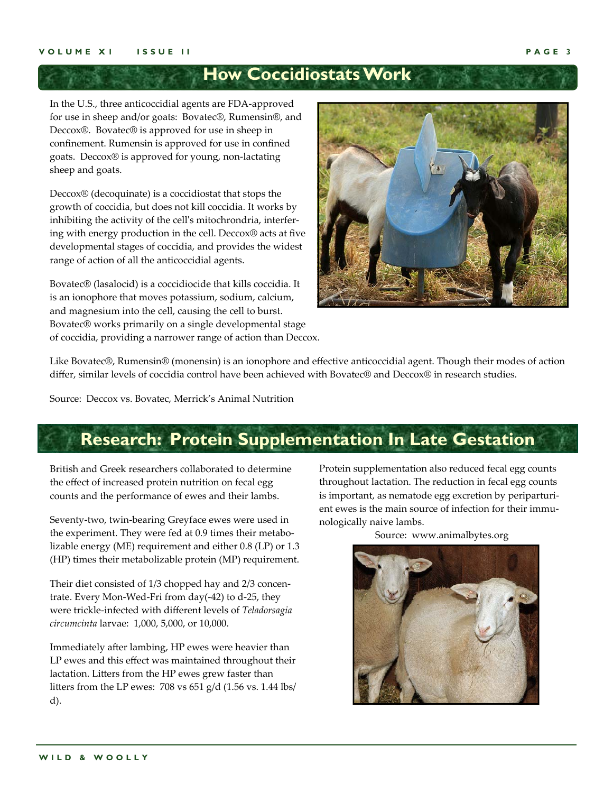### **How Coccidiostats Work**

In the U.S., three anticoccidial agents are FDA‐approved for use in sheep and/or goats: Bovatec®, Rumensin®, and Deccox®. Bovatec® is approved for use in sheep in confinement. Rumensin is approved for use in confined goats. Deccox® is approved for young, non‐lactating sheep and goats.

Deccox® (decoquinate) is a coccidiostat that stops the growth of coccidia, but does not kill coccidia. It works by inhibiting the activity of the cell's mitochrondria, interfering with energy production in the cell. Deccox® acts at five developmental stages of coccidia, and provides the widest range of action of all the anticoccidial agents.

Bovatec® (lasalocid) is a coccidiocide that kills coccidia. It is an ionophore that moves potassium, sodium, calcium, and magnesium into the cell, causing the cell to burst. Bovatec® works primarily on a single developmental stage of coccidia, providing a narrower range of action than Deccox.



Like Bovatec®, Rumensin® (monensin) is an ionophore and effective anticoccidial agent. Though their modes of action differ, similar levels of coccidia control have been achieved with Bovatec® and Deccox® in research studies.

Source: Deccox vs. Bovatec, Merrick's Animal Nutrition

### **Research: Protein Supplementation In Late Gestation**

British and Greek researchers collaborated to determine the effect of increased protein nutrition on fecal egg counts and the performance of ewes and their lambs.

Seventy-two, twin-bearing Greyface ewes were used in the experiment. They were fed at 0.9 times their metabolizable energy (ME) requirement and either 0.8 (LP) or 1.3 (HP) times their metabolizable protein (MP) requirement.

Their diet consisted of 1/3 chopped hay and 2/3 concen‐ trate. Every Mon‐Wed‐Fri from day(‐42) to d‐25, they were trickle‐infected with different levels of *Teladorsagia circumcinta* larvae: 1,000, 5,000, or 10,000.

Immediately after lambing, HP ewes were heavier than LP ewes and this effect was maintained throughout their lactation. Litters from the HP ewes grew faster than litters from the LP ewes: 708 vs 651 g/d (1.56 vs. 1.44 lbs/ d).

Protein supplementation also reduced fecal egg counts throughout lactation. The reduction in fecal egg counts is important, as nematode egg excretion by periparturient ewes is the main source of infection for their immunologically naive lambs.

Source: www.animalbytes.org

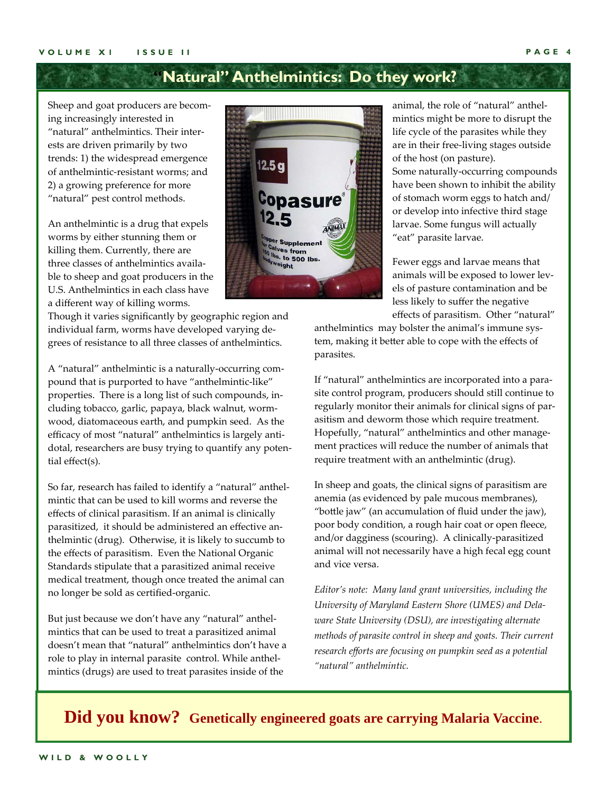### **"Natural" Anthelmintics: Do they work?**

Sheep and goat producers are becom‐ ing increasingly interested in "natural" anthelmintics. Their inter‐ ests are driven primarily by two trends: 1) the widespread emergence of anthelmintic‐resistant worms; and 2) a growing preference for more "natural" pest control methods.

An anthelmintic is a drug that expels worms by either stunning them or killing them. Currently, there are three classes of anthelmintics availa‐ ble to sheep and goat producers in the U.S. Anthelmintics in each class have a different way of killing worms.

Though it varies significantly by geographic region and individual farm, worms have developed varying de‐ grees of resistance to all three classes of anthelmintics.

A "natural" anthelmintic is a naturally‐occurring com‐ pound that is purported to have "anthelmintic-like" properties. There is a long list of such compounds, in‐ cluding tobacco, garlic, papaya, black walnut, worm‐ wood, diatomaceous earth, and pumpkin seed. As the efficacy of most "natural" anthelmintics is largely anti‐ dotal, researchers are busy trying to quantify any poten‐ tial effect(s).

So far, research has failed to identify a "natural" anthel‐ mintic that can be used to kill worms and reverse the effects of clinical parasitism. If an animal is clinically parasitized, it should be administered an effective an‐ thelmintic (drug). Otherwise, it is likely to succumb to the effects of parasitism. Even the National Organic Standards stipulate that a parasitized animal receive medical treatment, though once treated the animal can no longer be sold as certified‐organic.

But just because we don't have any "natural" anthel‐ mintics that can be used to treat a parasitized animal doesn't mean that "natural" anthelmintics don't have a role to play in internal parasite control. While anthel‐ mintics (drugs) are used to treat parasites inside of the



animal, the role of "natural" anthel‐ mintics might be more to disrupt the life cycle of the parasites while they are in their free‐living stages outside of the host (on pasture). Some naturally‐occurring compounds

have been shown to inhibit the ability of stomach worm eggs to hatch and/ or develop into infective third stage larvae. Some fungus will actually "eat" parasite larvae.

Fewer eggs and larvae means that animals will be exposed to lower lev‐ els of pasture contamination and be less likely to suffer the negative effects of parasitism. Other "natural"

anthelmintics may bolster the animal's immune system, making it better able to cope with the effects of parasites.

If "natural" anthelmintics are incorporated into a para‐ site control program, producers should still continue to regularly monitor their animals for clinical signs of par‐ asitism and deworm those which require treatment. Hopefully, "natural" anthelmintics and other manage‐ ment practices will reduce the number of animals that require treatment with an anthelmintic (drug).

In sheep and goats, the clinical signs of parasitism are anemia (as evidenced by pale mucous membranes), "bottle jaw" (an accumulation of fluid under the jaw), poor body condition, a rough hair coat or open fleece, and/or dagginess (scouring). A clinically‐parasitized animal will not necessarily have a high fecal egg count and vice versa.

*Editor's note: Many land grant universities, including the University of Maryland Eastern Shore (UMES) and Delaware State University (DSU), are investigating alternate methods of parasite control in sheep and goats. Their current research efforts are focusing on pumpkin seed as a potential "natural" anthelmintic.*

**Did you know? Genetically engineered goats are carrying Malaria Vaccine**.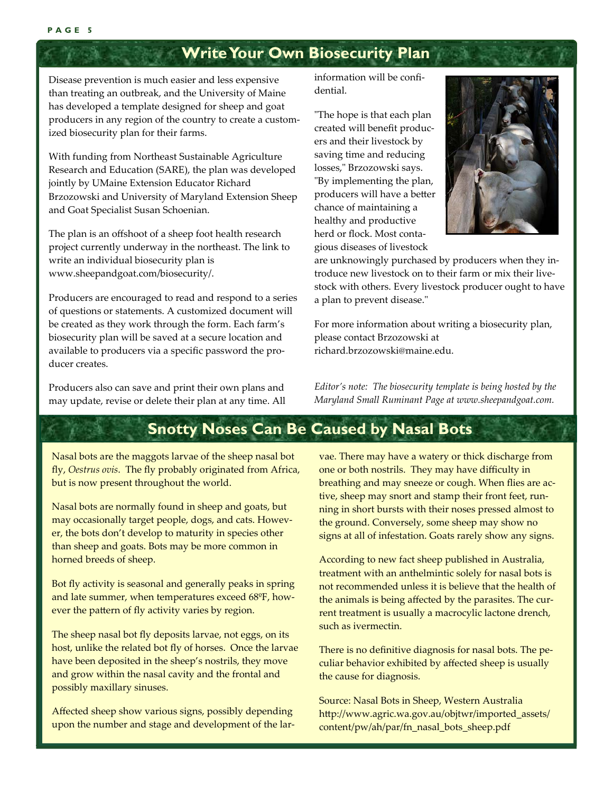### **Write Your Own Biosecurity Plan**

Disease prevention is much easier and less expensive than treating an outbreak, and the University of Maine has developed a template designed for sheep and goat producers in any region of the country to create a custom‐ ized biosecurity plan for their farms.

With funding from Northeast Sustainable Agriculture Research and Education (SARE), the plan was developed jointly by UMaine Extension Educator Richard Brzozowski and University of Maryland Extension Sheep and Goat Specialist Susan Schoenian.

The plan is an offshoot of a sheep foot health research project currently underway in the northeast. The link to write an individual biosecurity plan is www.sheepandgoat.com/biosecurity/.

Producers are encouraged to read and respond to a series of questions or statements. A customized document will be created as they work through the form. Each farm's biosecurity plan will be saved at a secure location and available to producers via a specific password the pro‐ ducer creates.

Producers also can save and print their own plans and may update, revise or delete their plan at any time. All information will be confi‐ dential.

ʺThe hope is that each plan created will benefit produc‐ ers and their livestock by saving time and reducing losses," Brzozowski says. "By implementing the plan, producers will have a better chance of maintaining a healthy and productive herd or flock. Most conta‐ gious diseases of livestock



are unknowingly purchased by producers when they in‐ troduce new livestock on to their farm or mix their live‐ stock with others. Every livestock producer ought to have a plan to prevent disease."

For more information about writing a biosecurity plan, please contact Brzozowski at richard.brzozowski@maine.edu.

*Editor's note: The biosecurity template is being hosted by the Maryland Small Ruminant Page at www.sheepandgoat.com.*

### **Snotty Noses Can Be Caused by Nasal Bots**

Nasal bots are the maggots larvae of the sheep nasal bot fly, *Oestrus ovis*. The fly probably originated from Africa, but is now present throughout the world.

Nasal bots are normally found in sheep and goats, but may occasionally target people, dogs, and cats. Howev‐ er, the bots don't develop to maturity in species other than sheep and goats. Bots may be more common in horned breeds of sheep.

Bot fly activity is seasonal and generally peaks in spring and late summer, when temperatures exceed 68ºF, how‐ ever the pattern of fly activity varies by region.

The sheep nasal bot fly deposits larvae, not eggs, on its host, unlike the related bot fly of horses. Once the larvae have been deposited in the sheep's nostrils, they move and grow within the nasal cavity and the frontal and possibly maxillary sinuses.

Affected sheep show various signs, possibly depending upon the number and stage and development of the larvae. There may have a watery or thick discharge from one or both nostrils. They may have difficulty in breathing and may sneeze or cough. When flies are ac‐ tive, sheep may snort and stamp their front feet, run‐ ning in short bursts with their noses pressed almost to the ground. Conversely, some sheep may show no signs at all of infestation. Goats rarely show any signs.

According to new fact sheep published in Australia, treatment with an anthelmintic solely for nasal bots is not recommended unless it is believe that the health of the animals is being affected by the parasites. The cur‐ rent treatment is usually a macrocylic lactone drench, such as ivermectin.

There is no definitive diagnosis for nasal bots. The pe‐ culiar behavior exhibited by affected sheep is usually the cause for diagnosis.

Source: Nasal Bots in Sheep, Western Australia http://www.agric.wa.gov.au/objtwr/imported\_assets/ content/pw/ah/par/fn\_nasal\_bots\_sheep.pdf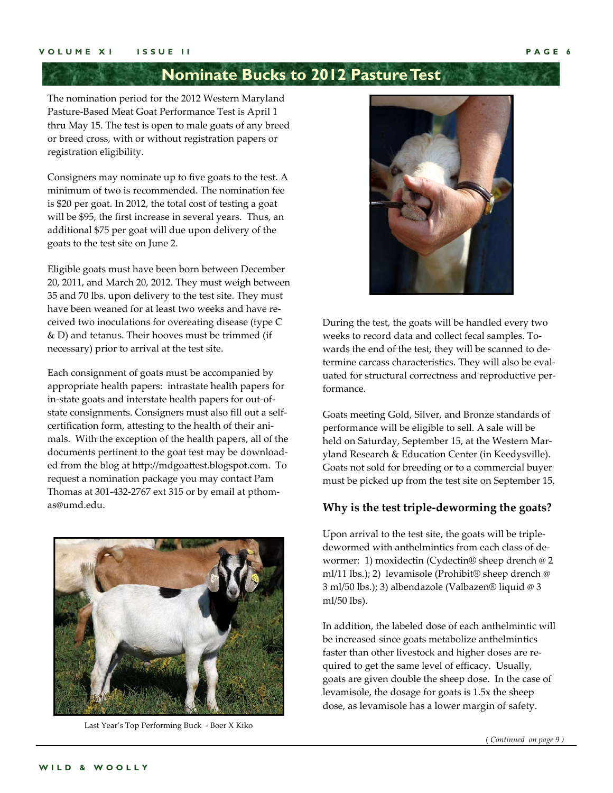### **Nominate Bucks to 2012 Pasture Test**

The nomination period for the 2012 Western Maryland Pasture‐Based Meat Goat Performance Test is April 1 thru May 15. The test is open to male goats of any breed or breed cross, with or without registration papers or registration eligibility.

Consigners may nominate up to five goats to the test. A minimum of two is recommended. The nomination fee is \$20 per goat. In 2012, the total cost of testing a goat will be \$95, the first increase in several years. Thus, an additional \$75 per goat will due upon delivery of the goats to the test site on June 2.

Eligible goats must have been born between December 20, 2011, and March 20, 2012. They must weigh between 35 and 70 lbs. upon delivery to the test site. They must have been weaned for at least two weeks and have received two inoculations for overeating disease (type C & D) and tetanus. Their hooves must be trimmed (if necessary) prior to arrival at the test site.

Each consignment of goats must be accompanied by appropriate health papers: intrastate health papers for in‐state goats and interstate health papers for out‐of‐ state consignments. Consigners must also fill out a self‐ certification form, attesting to the health of their ani‐ mals. With the exception of the health papers, all of the documents pertinent to the goat test may be download‐ ed from the blog at http://mdgoattest.blogspot.com. To request a nomination package you may contact Pam Thomas at 301‐432‐2767 ext 315 or by email at pthom‐ as@umd.edu.



Last Year's Top Performing Buck ‐ Boer X Kiko



During the test, the goats will be handled every two weeks to record data and collect fecal samples. To‐ wards the end of the test, they will be scanned to de‐ termine carcass characteristics. They will also be evaluated for structural correctness and reproductive per‐ formance.

Goats meeting Gold, Silver, and Bronze standards of performance will be eligible to sell. A sale will be held on Saturday, September 15, at the Western Mar‐ yland Research & Education Center (in Keedysville). Goats not sold for breeding or to a commercial buyer must be picked up from the test site on September 15.

#### **Why is the test triple‐deworming the goats?**

Upon arrival to the test site, the goats will be triple‐ dewormed with anthelmintics from each class of de‐ wormer: 1) moxidectin (Cydectin® sheep drench @ 2 ml/11 lbs.); 2) levamisole (Prohibit® sheep drench @ 3 ml/50 lbs.); 3) albendazole (Valbazen® liquid @ 3 ml/50 lbs).

In addition, the labeled dose of each anthelmintic will be increased since goats metabolize anthelmintics faster than other livestock and higher doses are re‐ quired to get the same level of efficacy. Usually, goats are given double the sheep dose. In the case of levamisole, the dosage for goats is 1.5x the sheep dose, as levamisole has a lower margin of safety.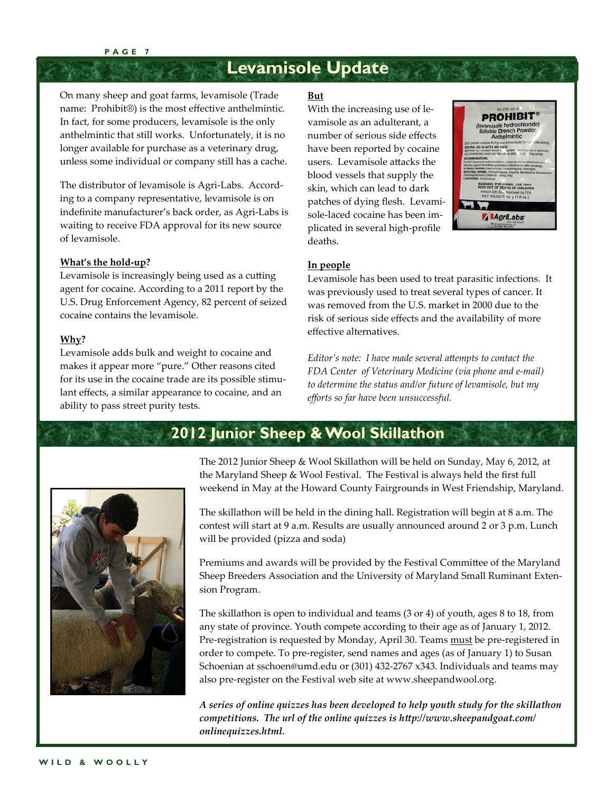#### **PAGE 7**

### **Levamisole Update**

On many sheep and goat farms, levamisole (Trade name: Prohibit®) is the most effective anthelmintic. In fact, for some producers, levamisole is the only anthelmintic that still works. Unfortunately, it is no longer available for purchase as a veterinary drug, unless some individual or company still has a cache.

The distributor of levamisole is Agri‐Labs. Accord‐ ing to a company representative, levamisole is on indefinite manufacturer's back order, as Agri‐Labs is waiting to receive FDA approval for its new source of levamisole.

#### **What's the hold‐up?**

Levamisole is increasingly being used as a cutting agent for cocaine. According to a 2011 report by the U.S. Drug Enforcement Agency, 82 percent of seized cocaine contains the levamisole.

#### **Why?**

Levamisole adds bulk and weight to cocaine and makes it appear more "pure." Other reasons cited for its use in the cocaine trade are its possible stimulant effects, a similar appearance to cocaine, and an ability to pass street purity tests.

#### **But**

With the increasing use of levamisole as an adulterant, a number of serious side effects have been reported by cocaine users. Levamisole attacks the blood vessels that supply the skin, which can lead to dark patches of dying flesh. Levami‐ sole‐laced cocaine has been im‐ plicated in several high‐profile deaths.



#### **In people**

Levamisole has been used to treat parasitic infections. It was previously used to treat several types of cancer. It was removed from the U.S. market in 2000 due to the risk of serious side effects and the availability of more effective alternatives.

*Editor's note: I have made several attempts to contact the FDA Center of Veterinary Medicine (via phone and e-mail) to determine the status and/or future of levamisole, but my efforts so far have been unsuccessful.* 



### **2012 Junior Sheep & Wool Skillathon**

The 2012 Junior Sheep & Wool Skillathon will be held on Sunday, May 6, 2012, at the Maryland Sheep & Wool Festival. The Festival is always held the first full weekend in May at the Howard County Fairgrounds in West Friendship, Maryland.

The skillathon will be held in the dining hall. Registration will begin at 8 a.m. The contest will start at 9 a.m. Results are usually announced around 2 or 3 p.m. Lunch will be provided (pizza and soda)

Premiums and awards will be provided by the Festival Committee of the Maryland Sheep Breeders Association and the University of Maryland Small Ruminant Exten‐ sion Program.

The skillathon is open to individual and teams (3 or 4) of youth, ages 8 to 18, from any state of province. Youth compete according to their age as of January 1, 2012. Pre-registration is requested by Monday, April 30. Teams must be pre-registered in order to compete. To pre‐register, send names and ages (as of January 1) to Susan Schoenian at sschoen@umd.edu or (301) 432‐2767 x343. Individuals and teams may also pre‐register on the Festival web site at www.sheepandwool.org.

*A series of online quizzes has been developed to help youth study for the skillathon competitions. The url of the online quizzes is http://www.sheepandgoat.com/ onlinequizzes.html.*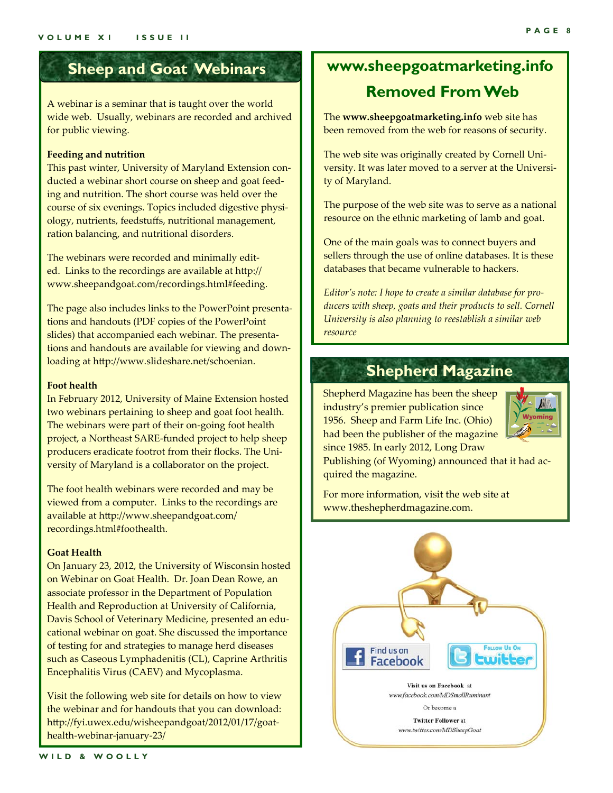### **Sheep and Goat Webinars**

A webinar is a seminar that is taught over the world wide web. Usually, webinars are recorded and archived for public viewing.

#### **Feeding and nutrition**

This past winter, University of Maryland Extension con‐ ducted a webinar short course on sheep and goat feed‐ ing and nutrition. The short course was held over the course of six evenings. Topics included digestive physiology, nutrients, feedstuffs, nutritional management, ration balancing, and nutritional disorders.

The webinars were recorded and minimally edit‐ ed. Links to the recordings are available at http:// www.sheepandgoat.com/recordings.html#feeding.

The page also includes links to the PowerPoint presenta‐ tions and handouts (PDF copies of the PowerPoint slides) that accompanied each webinar. The presenta‐ tions and handouts are available for viewing and down‐ loading at http://www.slideshare.net/schoenian.

#### **Foot health**

In February 2012, University of Maine Extension hosted two webinars pertaining to sheep and goat foot health. The webinars were part of their on‐going foot health project, a Northeast SARE‐funded project to help sheep producers eradicate footrot from their flocks. The Uni‐ versity of Maryland is a collaborator on the project.

The foot health webinars were recorded and may be viewed from a computer. Links to the recordings are available at http://www.sheepandgoat.com/ recordings.html#foothealth.

#### **Goat Health**

On January 23, 2012, the University of Wisconsin hosted on Webinar on Goat Health. Dr. Joan Dean Rowe, an associate professor in the Department of Population Health and Reproduction at University of California, Davis School of Veterinary Medicine, presented an edu‐ cational webinar on goat. She discussed the importance of testing for and strategies to manage herd diseases such as Caseous Lymphadenitis (CL), Caprine Arthritis Encephalitis Virus (CAEV) and Mycoplasma.

Visit the following web site for details on how to view the webinar and for handouts that you can download: http://fyi.uwex.edu/wisheepandgoat/2012/01/17/goat‐ health‐webinar‐january‐23/

### **www.sheepgoatmarketing.info Removed From Web**

The **www.sheepgoatmarketing.info** web site has been removed from the web for reasons of security.

The web site was originally created by Cornell Uni‐ versity. It was later moved to a server at the Universi‐ ty of Maryland.

The purpose of the web site was to serve as a national resource on the ethnic marketing of lamb and goat.

One of the main goals was to connect buyers and sellers through the use of online databases. It is these databases that became vulnerable to hackers.

*Editor's note: I hope to create a similar database for producers with sheep, goats and their products to sell. Cornell University is also planning to reestablish a similar web resource* 

### **Shepherd Magazine**

Shepherd Magazine has been the sheep industry's premier publication since 1956. Sheep and Farm Life Inc. (Ohio) had been the publisher of the magazine since 1985. In early 2012, Long Draw



Publishing (of Wyoming) announced that it had ac‐ quired the magazine.

For more information, visit the web site at www.theshepherdmagazine.com.

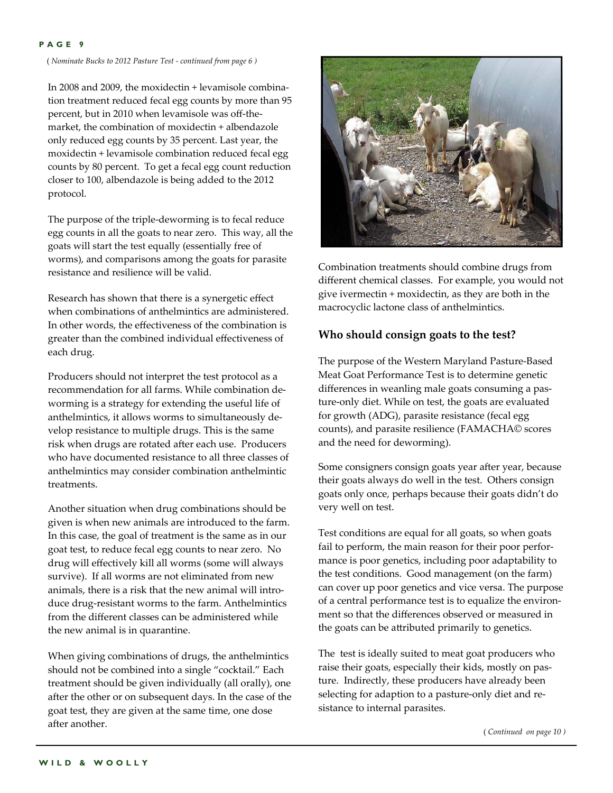#### **PAGE 9**

( *Nominate Bucks to 2012 Pasture Test - continued from page 6 )*

In 2008 and 2009, the moxidectin + levamisole combina‐ tion treatment reduced fecal egg counts by more than 95 percent, but in 2010 when levamisole was off-themarket, the combination of moxidectin + albendazole only reduced egg counts by 35 percent. Last year, the moxidectin + levamisole combination reduced fecal egg counts by 80 percent. To get a fecal egg count reduction closer to 100, albendazole is being added to the 2012 protocol.

The purpose of the triple‐deworming is to fecal reduce egg counts in all the goats to near zero. This way, all the goats will start the test equally (essentially free of worms), and comparisons among the goats for parasite resistance and resilience will be valid.

Research has shown that there is a synergetic effect when combinations of anthelmintics are administered. In other words, the effectiveness of the combination is greater than the combined individual effectiveness of each drug.

Producers should not interpret the test protocol as a recommendation for all farms. While combination de‐ worming is a strategy for extending the useful life of anthelmintics, it allows worms to simultaneously de‐ velop resistance to multiple drugs. This is the same risk when drugs are rotated after each use. Producers who have documented resistance to all three classes of anthelmintics may consider combination anthelmintic treatments.

Another situation when drug combinations should be given is when new animals are introduced to the farm. In this case, the goal of treatment is the same as in our goat test, to reduce fecal egg counts to near zero. No drug will effectively kill all worms (some will always survive). If all worms are not eliminated from new animals, there is a risk that the new animal will intro‐ duce drug‐resistant worms to the farm. Anthelmintics from the different classes can be administered while the new animal is in quarantine.

When giving combinations of drugs, the anthelmintics should not be combined into a single "cocktail." Each treatment should be given individually (all orally), one after the other or on subsequent days. In the case of the goat test, they are given at the same time, one dose after another.



Combination treatments should combine drugs from different chemical classes. For example, you would not give ivermectin + moxidectin, as they are both in the macrocyclic lactone class of anthelmintics.

#### **Who should consign goats to the test?**

The purpose of the Western Maryland Pasture‐Based Meat Goat Performance Test is to determine genetic differences in weanling male goats consuming a pas‐ ture‐only diet. While on test, the goats are evaluated for growth (ADG), parasite resistance (fecal egg counts), and parasite resilience (FAMACHA© scores and the need for deworming).

Some consigners consign goats year after year, because their goats always do well in the test. Others consign goats only once, perhaps because their goats didn't do very well on test.

Test conditions are equal for all goats, so when goats fail to perform, the main reason for their poor performance is poor genetics, including poor adaptability to the test conditions. Good management (on the farm) can cover up poor genetics and vice versa. The purpose of a central performance test is to equalize the environ‐ ment so that the differences observed or measured in the goats can be attributed primarily to genetics.

The test is ideally suited to meat goat producers who raise their goats, especially their kids, mostly on pas‐ ture. Indirectly, these producers have already been selecting for adaption to a pasture-only diet and resistance to internal parasites.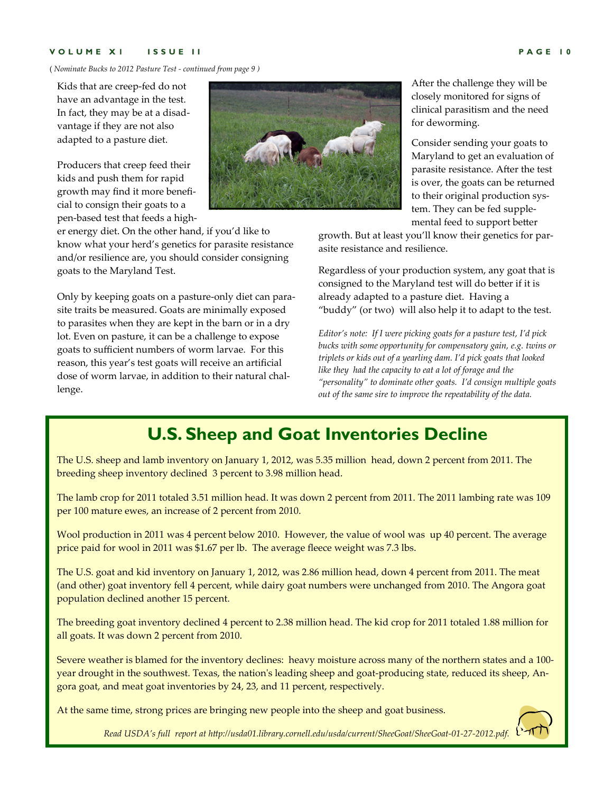#### **VOLUME X1 ISSUE II PAGE 10**

( *Nominate Bucks to 2012 Pasture Test - continued from page 9 )*

Kids that are creep‐fed do not have an advantage in the test. In fact, they may be at a disad‐ vantage if they are not also adapted to a pasture diet.

Producers that creep feed their kids and push them for rapid growth may find it more benefi‐ cial to consign their goats to a pen‐based test that feeds a high‐

er energy diet. On the other hand, if you'd like to know what your herd's genetics for parasite resistance and/or resilience are, you should consider consigning goats to the Maryland Test.

Only by keeping goats on a pasture‐only diet can para‐ site traits be measured. Goats are minimally exposed to parasites when they are kept in the barn or in a dry lot. Even on pasture, it can be a challenge to expose goats to sufficient numbers of worm larvae. For this reason, this year's test goats will receive an artificial dose of worm larvae, in addition to their natural challenge.



After the challenge they will be closely monitored for signs of clinical parasitism and the need for deworming.

Consider sending your goats to Maryland to get an evaluation of parasite resistance. After the test is over, the goats can be returned to their original production sys‐ tem. They can be fed supple‐ mental feed to support better

growth. But at least you'll know their genetics for par‐ asite resistance and resilience.

Regardless of your production system, any goat that is consigned to the Maryland test will do better if it is already adapted to a pasture diet. Having a "buddy" (or two) will also help it to adapt to the test.

*Editor's note: If I were picking goats for a pasture test, I'd pick bucks with some opportunity for compensatory gain, e.g. twins or triplets or kids out of a yearling dam. I'd pick goats that looked like they had the capacity to eat a lot of forage and the "personality" to dominate other goats. I'd consign multiple goats out of the same sire to improve the repeatability of the data.*

### **U.S. Sheep and Goat Inventories Decline**

The U.S. sheep and lamb inventory on January 1, 2012, was 5.35 million head, down 2 percent from 2011. The breeding sheep inventory declined 3 percent to 3.98 million head.

The lamb crop for 2011 totaled 3.51 million head. It was down 2 percent from 2011. The 2011 lambing rate was 109 per 100 mature ewes, an increase of 2 percent from 2010.

Wool production in 2011 was 4 percent below 2010. However, the value of wool was up 40 percent. The average price paid for wool in 2011 was \$1.67 per lb. The average fleece weight was 7.3 lbs.

The U.S. goat and kid inventory on January 1, 2012, was 2.86 million head, down 4 percent from 2011. The meat (and other) goat inventory fell 4 percent, while dairy goat numbers were unchanged from 2010. The Angora goat population declined another 15 percent.

The breeding goat inventory declined 4 percent to 2.38 million head. The kid crop for 2011 totaled 1.88 million for all goats. It was down 2 percent from 2010.

Severe weather is blamed for the inventory declines: heavy moisture across many of the northern states and a 100‐ year drought in the southwest. Texas, the nation's leading sheep and goat-producing state, reduced its sheep, Angora goat, and meat goat inventories by 24, 23, and 11 percent, respectively.

At the same time, strong prices are bringing new people into the sheep and goat business.

*Read USDA's full report at http://usda01.library.cornell.edu/usda/current/SheeGoat/SheeGoat-01-27-2012.pdf.*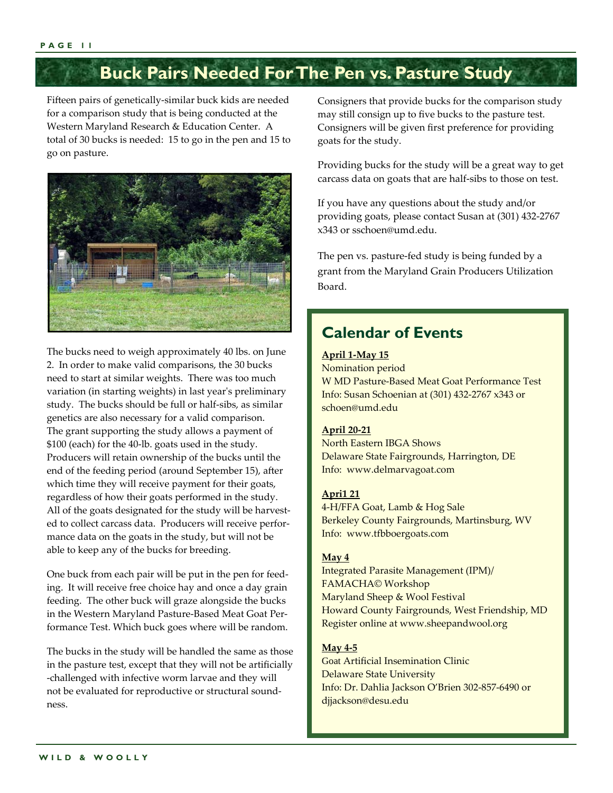### **Buck Pairs Needed For The Pen vs. Pasture Study**

Fifteen pairs of genetically‐similar buck kids are needed for a comparison study that is being conducted at the Western Maryland Research & Education Center. A total of 30 bucks is needed: 15 to go in the pen and 15 to go on pasture.



The bucks need to weigh approximately 40 lbs. on June 2. In order to make valid comparisons, the 30 bucks need to start at similar weights. There was too much variation (in starting weights) in last year's preliminary study. The bucks should be full or half‐sibs, as similar genetics are also necessary for a valid comparison. The grant supporting the study allows a payment of \$100 (each) for the 40‐lb. goats used in the study. Producers will retain ownership of the bucks until the end of the feeding period (around September 15), after which time they will receive payment for their goats, regardless of how their goats performed in the study. All of the goats designated for the study will be harvested to collect carcass data. Producers will receive perfor‐ mance data on the goats in the study, but will not be able to keep any of the bucks for breeding.

One buck from each pair will be put in the pen for feed‐ ing. It will receive free choice hay and once a day grain feeding. The other buck will graze alongside the bucks in the Western Maryland Pasture‐Based Meat Goat Per‐ formance Test. Which buck goes where will be random.

The bucks in the study will be handled the same as those in the pasture test, except that they will not be artificially ‐challenged with infective worm larvae and they will not be evaluated for reproductive or structural sound‐ ness.

Consigners that provide bucks for the comparison study may still consign up to five bucks to the pasture test. Consigners will be given first preference for providing goats for the study.

Providing bucks for the study will be a great way to get carcass data on goats that are half‐sibs to those on test.

If you have any questions about the study and/or providing goats, please contact Susan at (301) 432‐2767 x343 or sschoen@umd.edu.

The pen vs. pasture‐fed study is being funded by a grant from the Maryland Grain Producers Utilization Board.

### **Calendar of Events**

#### **April 1‐May 15**

Nomination period W MD Pasture‐Based Meat Goat Performance Test Info: Susan Schoenian at (301) 432‐2767 x343 or schoen@umd.edu

#### **April 20‐21**

North Eastern IBGA Shows Delaware State Fairgrounds, Harrington, DE Info: www.delmarvagoat.com

#### **Apri1 21**

4‐H/FFA Goat, Lamb & Hog Sale Berkeley County Fairgrounds, Martinsburg, WV Info: www.tfbboergoats.com

#### **May 4**

Integrated Parasite Management (IPM)/ FAMACHA© Workshop Maryland Sheep & Wool Festival Howard County Fairgrounds, West Friendship, MD Register online at www.sheepandwool.org

#### **May 4‐5**

Goat Artificial Insemination Clinic Delaware State University Info: Dr. Dahlia Jackson O'Brien 302‐857‐6490 or djjackson@desu.edu